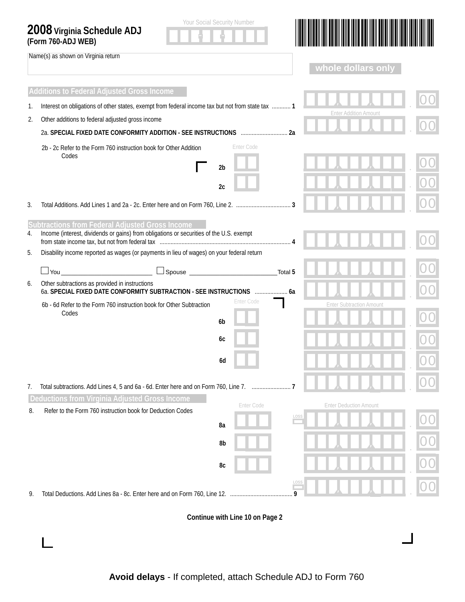|    | <b>Your Social Security Number</b><br>2008 Virginia Schedule ADJ<br>(Form 760-ADJ WEB)                                 |                                 |  |  |  |  |  |
|----|------------------------------------------------------------------------------------------------------------------------|---------------------------------|--|--|--|--|--|
|    | Name(s) as shown on Virginia return                                                                                    | whole dollars only              |  |  |  |  |  |
|    | <b>Additions to Federal Adjusted Gross Income</b>                                                                      |                                 |  |  |  |  |  |
| 1. | Interest on obligations of other states, exempt from federal income tax but not from state tax  1                      |                                 |  |  |  |  |  |
| 2. | Other additions to federal adjusted gross income                                                                       | <b>Enter Addition Amount</b>    |  |  |  |  |  |
|    |                                                                                                                        |                                 |  |  |  |  |  |
|    | Enter Code<br>2b - 2c Refer to the Form 760 instruction book for Other Addition<br>Codes                               |                                 |  |  |  |  |  |
|    | 2 <sub>b</sub>                                                                                                         |                                 |  |  |  |  |  |
|    | 2c                                                                                                                     |                                 |  |  |  |  |  |
| 3. |                                                                                                                        |                                 |  |  |  |  |  |
|    | Subtractions from Federal Adjusted Gross Income                                                                        |                                 |  |  |  |  |  |
| 4. | Income (interest, dividends or gains) from obligations or securities of the U.S. exempt                                |                                 |  |  |  |  |  |
| 5. | Disability income reported as wages (or payments in lieu of wages) on your federal return                              |                                 |  |  |  |  |  |
|    | $\Box$ Spouse $\Box$                                                                                                   | Total <sub>5</sub>              |  |  |  |  |  |
| 6. | Other subtractions as provided in instructions<br>6a. SPECIAL FIXED DATE CONFORMITY SUBTRACTION - SEE INSTRUCTIONS  6a |                                 |  |  |  |  |  |
|    | <b>Enter Code</b><br>6b - 6d Refer to the Form 760 instruction book for Other Subtraction                              | <b>Enter Subtraction Amount</b> |  |  |  |  |  |
|    | Codes<br>6 <sub>b</sub>                                                                                                |                                 |  |  |  |  |  |
|    | 6с                                                                                                                     |                                 |  |  |  |  |  |
|    |                                                                                                                        |                                 |  |  |  |  |  |
|    | 6d                                                                                                                     |                                 |  |  |  |  |  |
| 7. |                                                                                                                        |                                 |  |  |  |  |  |
|    | Deductions from Virginia Adjusted Gross Income<br>Enter Code                                                           | <b>Enter Deduction Amount</b>   |  |  |  |  |  |
| 8. | Refer to the Form 760 instruction book for Deduction Codes                                                             | <b>LOSS</b>                     |  |  |  |  |  |
|    | 8a                                                                                                                     |                                 |  |  |  |  |  |
|    | 8b                                                                                                                     |                                 |  |  |  |  |  |
|    | 8c                                                                                                                     |                                 |  |  |  |  |  |
| 9. |                                                                                                                        | LOS:<br>9                       |  |  |  |  |  |
|    | Continue with Line 10 on Page 2                                                                                        |                                 |  |  |  |  |  |

 $\Box$ 

 $\mathcal{A}$